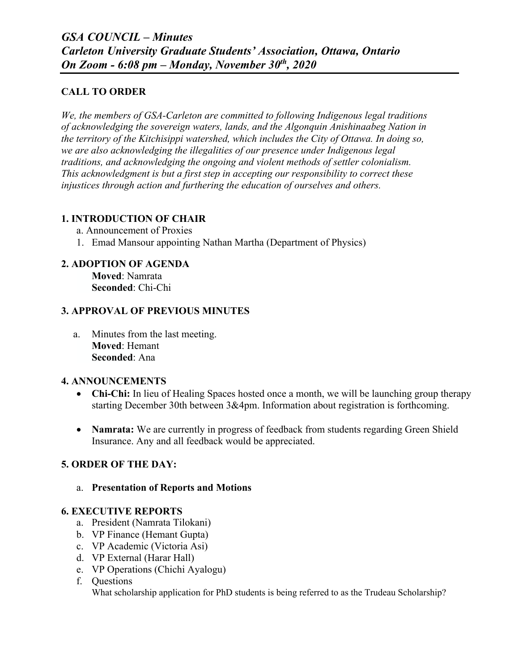## **CALL TO ORDER**

*We, the members of GSA-Carleton are committed to following Indigenous legal traditions of acknowledging the sovereign waters, lands, and the Algonquin Anishinaabeg Nation in the territory of the Kitchisippi watershed, which includes the City of Ottawa. In doing so, we are also acknowledging the illegalities of our presence under Indigenous legal traditions, and acknowledging the ongoing and violent methods of settler colonialism. This acknowledgment is but a first step in accepting our responsibility to correct these injustices through action and furthering the education of ourselves and others.*

## **1. INTRODUCTION OF CHAIR**

- a. Announcement of Proxies
- 1. Emad Mansour appointing Nathan Martha (Department of Physics)

# **2. ADOPTION OF AGENDA**

 **Moved**: Namrata **Seconded**: Chi-Chi

## **3. APPROVAL OF PREVIOUS MINUTES**

a. Minutes from the last meeting. **Moved**: Hemant **Seconded**: Ana

## **4. ANNOUNCEMENTS**

- **Chi-Chi:** In lieu of Healing Spaces hosted once a month, we will be launching group therapy starting December 30th between 3&4pm. Information about registration is forthcoming.
- **Namrata:** We are currently in progress of feedback from students regarding Green Shield Insurance. Any and all feedback would be appreciated.

# **5. ORDER OF THE DAY:**

#### a. **Presentation of Reports and Motions**

## **6. EXECUTIVE REPORTS**

- a. President (Namrata Tilokani)
- b. VP Finance (Hemant Gupta)
- c. VP Academic (Victoria Asi)
- d. VP External (Harar Hall)
- e. VP Operations (Chichi Ayalogu)
- f. Questions What scholarship application for PhD students is being referred to as the Trudeau Scholarship?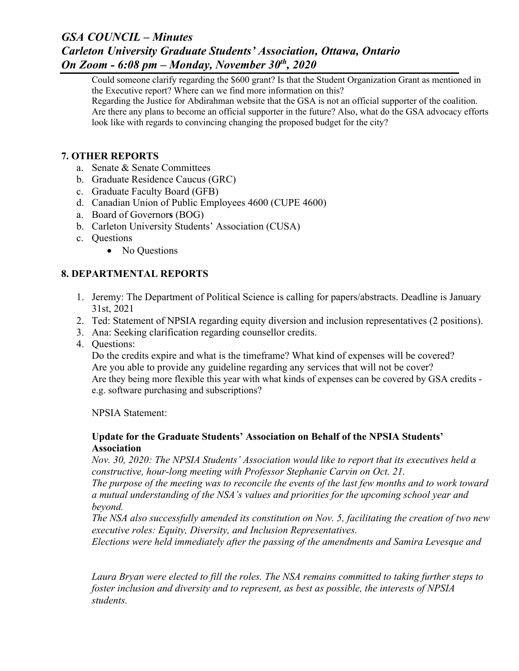# *GSA COUNCIL – Minutes Carleton University Graduate Students' Association, Ottawa, Ontario On Zoom - 6:08 pm – Monday, November 30th, 2020*

Could someone clarify regarding the \$600 grant? Is that the Student Organization Grant as mentioned in the Executive report? Where can we find more information on this?

Regarding the Justice for Abdirahman website that the GSA is not an official supporter of the coalition. Are there any plans to become an official supporter in the future? Also, what do the GSA advocacy efforts look like with regards to convincing changing the proposed budget for the city?

## **7. OTHER REPORTS**

- a. Senate & Senate Committees
- b. Graduate Residence Caucus (GRC)
- c. Graduate Faculty Board (GFB)
- d. Canadian Union of Public Employees 4600 (CUPE 4600)
- a. Board of Governor**s** (BOG)
- b. Carleton University Students' Association (CUSA)
- c. Questions
	- No Ouestions

# **8. DEPARTMENTAL REPORTS**

- 1. Jeremy: The Department of Political Science is calling for papers/abstracts. Deadline is January 31st, 2021
- 2. Ted: Statement of NPSIA regarding equity diversion and inclusion representatives (2 positions).
- 3. Ana: Seeking clarification regarding counsellor credits.
- 4. Questions:

Do the credits expire and what is the timeframe? What kind of expenses will be covered? Are you able to provide any guideline regarding any services that will not be cover? Are they being more flexible this year with what kinds of expenses can be covered by GSA credits e.g. software purchasing and subscriptions?

NPSIA Statement:

## **Update for the Graduate Students' Association on Behalf of the NPSIA Students' Association**

*Nov. 30, 2020: The NPSIA Students' Association would like to report that its executives held a constructive, hour-long meeting with Professor Stephanie Carvin on Oct. 21.*

*The purpose of the meeting was to reconcile the events of the last few months and to work toward a mutual understanding of the NSA's values and priorities for the upcoming school year and beyond.*

*The NSA also successfully amended its constitution on Nov. 5, facilitating the creation of two new executive roles: Equity, Diversity, and Inclusion Representatives.*

*Elections were held immediately after the passing of the amendments and Samira Levesque and*

*Laura Bryan were elected to fill the roles. The NSA remains committed to taking further steps to foster inclusion and diversity and to represent, as best as possible, the interests of NPSIA students.*